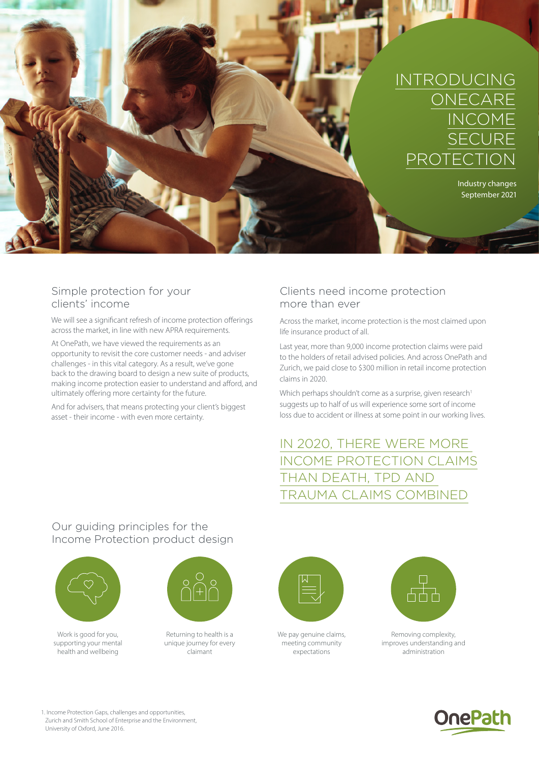

### Simple protection for your clients' income

We will see a significant refresh of income protection offerings across the market, in line with new APRA requirements.

At OnePath, we have viewed the requirements as an opportunity to revisit the core customer needs - and adviser challenges - in this vital category. As a result, we've gone back to the drawing board to design a new suite of products, making income protection easier to understand and afford, and ultimately offering more certainty for the future.

And for advisers, that means protecting your client's biggest asset - their income - with even more certainty.

## Clients need income protection more than ever

Across the market, income protection is the most claimed upon life insurance product of all.

Last year, more than 9,000 income protection claims were paid to the holders of retail advised policies. And across OnePath and Zurich, we paid close to \$300 million in retail income protection claims in 2020.

Which perhaps shouldn't come as a surprise, given research<sup>1</sup> suggests up to half of us will experience some sort of income loss due to accident or illness at some point in our working lives.

# IN 2020, THERE WERE MORE INCOME PROTECTION CLAIMS THAN DEATH, TPD AND TRAUMA CLAIMS COMBINED

## Our guiding principles for the Income Protection product design



Work is good for you. supporting your mental health and wellbeing



Returning to health is a unique journey for every claimant



We pay genuine claims, meeting community expectations



Removing complexity, improves understanding and administration



1. Income Protection Gaps, challenges and opportunities, Zurich and Smith School of Enterprise and the Environment, University of Oxford, June 2016.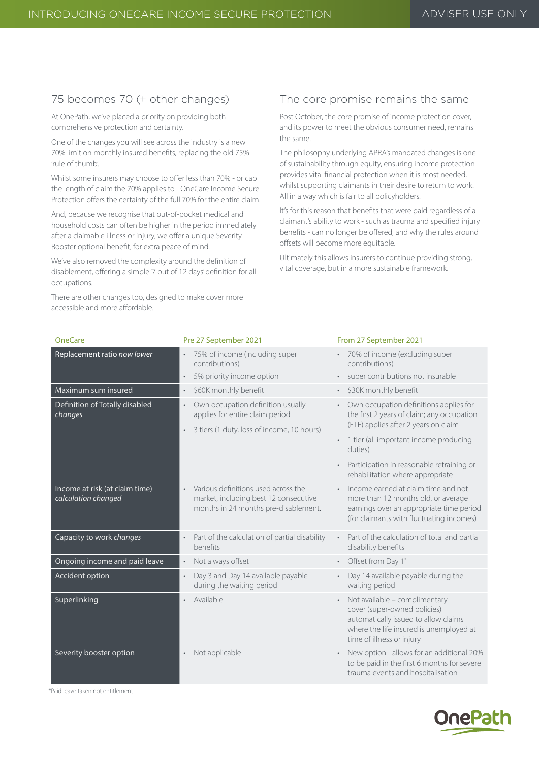## 75 becomes 70 (+ other changes)

At OnePath, we've placed a priority on providing both comprehensive protection and certainty.

One of the changes you will see across the industry is a new 70% limit on monthly insured benefits, replacing the old 75% 'rule of thumb'.

Whilst some insurers may choose to offer less than 70% - or cap the length of claim the 70% applies to - OneCare Income Secure Protection offers the certainty of the full 70% for the entire claim.

And, because we recognise that out-of-pocket medical and household costs can often be higher in the period immediately after a claimable illness or injury, we offer a unique Severity Booster optional benefit, for extra peace of mind.

We've also removed the complexity around the definition of disablement, offering a simple '7 out of 12 days' definition for all occupations.

There are other changes too, designed to make cover more accessible and more affordable.

### The core promise remains the same

Post October, the core promise of income protection cover, and its power to meet the obvious consumer need, remains the same.

The philosophy underlying APRA's mandated changes is one of sustainability through equity, ensuring income protection provides vital financial protection when it is most needed, whilst supporting claimants in their desire to return to work. All in a way which is fair to all policyholders.

It's for this reason that benefits that were paid regardless of a claimant's ability to work - such as trauma and specified injury benefits - can no longer be offered, and why the rules around offsets will become more equitable.

Ultimately this allows insurers to continue providing strong, vital coverage, but in a more sustainable framework.

| <b>OneCare</b>                                        | Pre 27 September 2021                                                                                                             | From 27 September 2021                                                                                                                                                                     |
|-------------------------------------------------------|-----------------------------------------------------------------------------------------------------------------------------------|--------------------------------------------------------------------------------------------------------------------------------------------------------------------------------------------|
| Replacement ratio now lower                           | 75% of income (including super<br>$\bullet$<br>contributions)                                                                     | 70% of income (excluding super<br>contributions)                                                                                                                                           |
|                                                       | 5% priority income option<br>$\bullet$                                                                                            | super contributions not insurable                                                                                                                                                          |
| Maximum sum insured                                   | \$60K monthly benefit<br>$\bullet$                                                                                                | \$30K monthly benefit<br>$\bullet$                                                                                                                                                         |
| Definition of Totally disabled<br>changes             | Own occupation definition usually<br>$\bullet$<br>applies for entire claim period                                                 | Own occupation definitions applies for<br>the first 2 years of claim; any occupation                                                                                                       |
|                                                       | 3 tiers (1 duty, loss of income, 10 hours)<br>$\bullet$                                                                           | (ETE) applies after 2 years on claim                                                                                                                                                       |
|                                                       |                                                                                                                                   | 1 tier (all important income producing<br>duties)                                                                                                                                          |
|                                                       |                                                                                                                                   | Participation in reasonable retraining or<br>rehabilitation where appropriate                                                                                                              |
| Income at risk (at claim time)<br>calculation changed | Various definitions used across the<br>$\bullet$<br>market, including best 12 consecutive<br>months in 24 months pre-disablement. | Income earned at claim time and not<br>more than 12 months old, or average<br>earnings over an appropriate time period<br>(for claimants with fluctuating incomes)                         |
| Capacity to work changes                              | Part of the calculation of partial disability<br>$\bullet$<br>henefits                                                            | Part of the calculation of total and partial<br>disability benefits                                                                                                                        |
| Ongoing income and paid leave                         | Not always offset<br>$\bullet$                                                                                                    | Offset from Day 1*<br>$\bullet$                                                                                                                                                            |
| Accident option                                       | Day 3 and Day 14 available payable<br>$\bullet$<br>during the waiting period                                                      | Day 14 available payable during the<br>waiting period                                                                                                                                      |
| Superlinking                                          | Available                                                                                                                         | Not available - complimentary<br>$\bullet$<br>cover (super-owned policies)<br>automatically issued to allow claims<br>where the life insured is unemployed at<br>time of illness or injury |
| Severity booster option                               | Not applicable                                                                                                                    | New option - allows for an additional 20%<br>to be paid in the first 6 months for severe<br>trauma events and hospitalisation                                                              |

\*Paid leave taken not entitlement